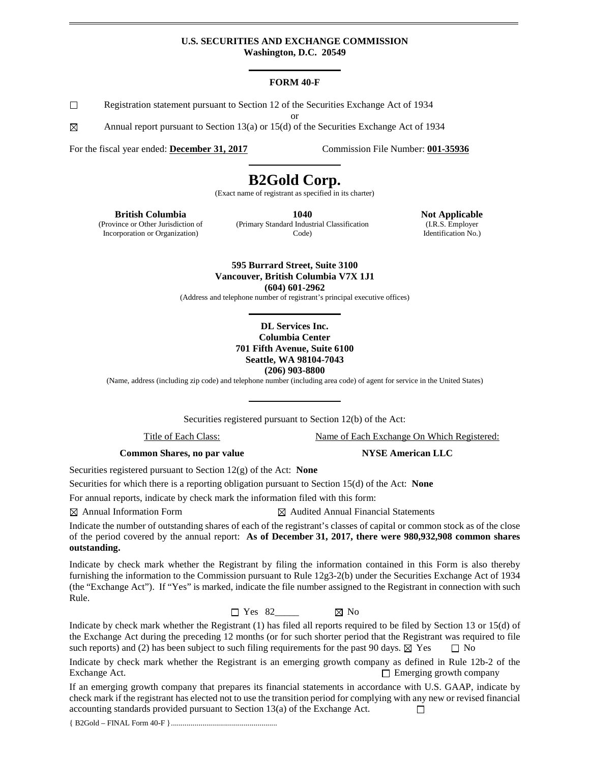#### **U.S. SECURITIES AND EXCHANGE COMMISSION Washington, D.C. 20549**

#### **FORM 40-F**

 $\Box$ Registration statement pursuant to Section 12 of the Securities Exchange Act of 1934

or

⊠ Annual report pursuant to Section 13(a) or 15(d) of the Securities Exchange Act of 1934

For the fiscal year ended: **December 31, 2017** Commission File Number: **001-35936** 

# **B2Gold Corp.**

(Exact name of registrant as specified in its charter)

**British Columbia**

(Province or Other Jurisdiction of Incorporation or Organization)

**1040** (Primary Standard Industrial Classification Code)

**Not Applicable** (I.R.S. Employer Identification No.)

**595 Burrard Street, Suite 3100 Vancouver, British Columbia V7X 1J1 (604) 601-2962**

(Address and telephone number of registrant's principal executive offices)

#### **DL Services Inc. Columbia Center 701 Fifth Avenue, Suite 6100 Seattle, WA 98104-7043 (206) 903-8800**

(Name, address (including zip code) and telephone number (including area code) of agent for service in the United States)

Securities registered pursuant to Section 12(b) of the Act:

Title of Each Class: Name of Each Exchange On Which Registered:

**Common Shares, no par value NYSE American LLC** 

Securities registered pursuant to Section 12(g) of the Act: **None**

Securities for which there is a reporting obligation pursuant to Section 15(d) of the Act: **None**

For annual reports, indicate by check mark the information filed with this form:

 $\boxtimes$  Annual Information Form  $\boxtimes$  Audited Annual Financial Statements

Indicate the number of outstanding shares of each of the registrant's classes of capital or common stock as of the close of the period covered by the annual report: **As of December 31, 2017, there were 980,932,908 common shares outstanding.**

Indicate by check mark whether the Registrant by filing the information contained in this Form is also thereby furnishing the information to the Commission pursuant to Rule 12g3-2(b) under the Securities Exchange Act of 1934 (the "Exchange Act"). If "Yes" is marked, indicate the file number assigned to the Registrant in connection with such Rule.

 $\Box$  Yes 82  $\boxtimes$  No

Indicate by check mark whether the Registrant (1) has filed all reports required to be filed by Section 13 or 15(d) of the Exchange Act during the preceding 12 months (or for such shorter period that the Registrant was required to file such reports) and (2) has been subject to such filing requirements for the past 90 days.  $\boxtimes$  Yes  $\Box$  No

Indicate by check mark whether the Registrant is an emerging growth company as defined in Rule 12b-2 of the Exchange Act. Exchange Act.

If an emerging growth company that prepares its financial statements in accordance with U.S. GAAP, indicate by check mark if the registrant has elected not to use the transition period for complying with any new or revised financial accounting standards provided pursuant to Section 13(a) of the Exchange Act.  $\Box$ 

{ B2Gold – FINAL Form 40-F }......................................................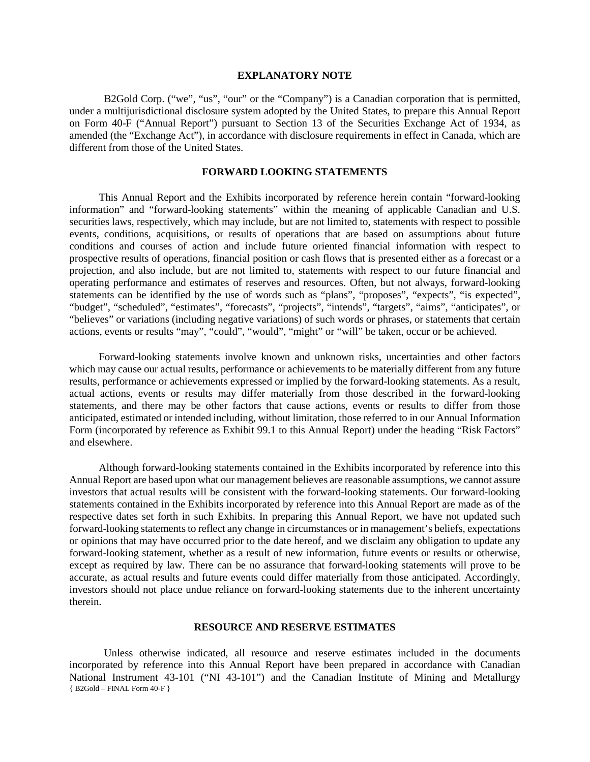#### **EXPLANATORY NOTE**

B2Gold Corp. ("we", "us", "our" or the "Company") is a Canadian corporation that is permitted, under a multijurisdictional disclosure system adopted by the United States, to prepare this Annual Report on Form 40-F ("Annual Report") pursuant to Section 13 of the Securities Exchange Act of 1934, as amended (the "Exchange Act"), in accordance with disclosure requirements in effect in Canada, which are different from those of the United States.

## **FORWARD LOOKING STATEMENTS**

This Annual Report and the Exhibits incorporated by reference herein contain "forward-looking information" and "forward-looking statements" within the meaning of applicable Canadian and U.S. securities laws, respectively, which may include, but are not limited to, statements with respect to possible events, conditions, acquisitions, or results of operations that are based on assumptions about future conditions and courses of action and include future oriented financial information with respect to prospective results of operations, financial position or cash flows that is presented either as a forecast or a projection, and also include, but are not limited to, statements with respect to our future financial and operating performance and estimates of reserves and resources. Often, but not always, forward-looking statements can be identified by the use of words such as "plans", "proposes", "expects", "is expected", "budget", "scheduled", "estimates", "forecasts", "projects", "intends", "targets", "aims", "anticipates", or "believes" or variations (including negative variations) of such words or phrases, or statements that certain actions, events or results "may", "could", "would", "might" or "will" be taken, occur or be achieved.

Forward-looking statements involve known and unknown risks, uncertainties and other factors which may cause our actual results, performance or achievements to be materially different from any future results, performance or achievements expressed or implied by the forward-looking statements. As a result, actual actions, events or results may differ materially from those described in the forward-looking statements, and there may be other factors that cause actions, events or results to differ from those anticipated, estimated or intended including, without limitation, those referred to in our Annual Information Form (incorporated by reference as Exhibit 99.1 to this Annual Report) under the heading "Risk Factors" and elsewhere.

Although forward-looking statements contained in the Exhibits incorporated by reference into this Annual Report are based upon what our management believes are reasonable assumptions, we cannot assure investors that actual results will be consistent with the forward-looking statements. Our forward-looking statements contained in the Exhibits incorporated by reference into this Annual Report are made as of the respective dates set forth in such Exhibits. In preparing this Annual Report, we have not updated such forward-looking statements to reflect any change in circumstances or in management's beliefs, expectations or opinions that may have occurred prior to the date hereof, and we disclaim any obligation to update any forward-looking statement, whether as a result of new information, future events or results or otherwise, except as required by law. There can be no assurance that forward-looking statements will prove to be accurate, as actual results and future events could differ materially from those anticipated. Accordingly, investors should not place undue reliance on forward-looking statements due to the inherent uncertainty therein.

#### **RESOURCE AND RESERVE ESTIMATES**

{ B2Gold – FINAL Form 40-F } Unless otherwise indicated, all resource and reserve estimates included in the documents incorporated by reference into this Annual Report have been prepared in accordance with Canadian National Instrument 43-101 ("NI 43-101") and the Canadian Institute of Mining and Metallurgy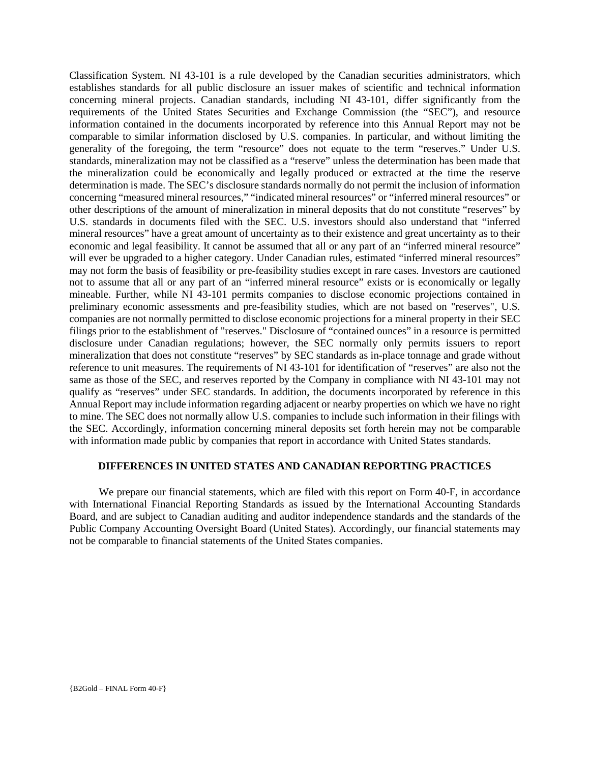Classification System. NI 43-101 is a rule developed by the Canadian securities administrators, which establishes standards for all public disclosure an issuer makes of scientific and technical information concerning mineral projects. Canadian standards, including NI 43-101, differ significantly from the requirements of the United States Securities and Exchange Commission (the "SEC"), and resource information contained in the documents incorporated by reference into this Annual Report may not be comparable to similar information disclosed by U.S. companies. In particular, and without limiting the generality of the foregoing, the term "resource" does not equate to the term "reserves." Under U.S. standards, mineralization may not be classified as a "reserve" unless the determination has been made that the mineralization could be economically and legally produced or extracted at the time the reserve determination is made. The SEC's disclosure standards normally do not permit the inclusion of information concerning "measured mineral resources," "indicated mineral resources" or "inferred mineral resources" or other descriptions of the amount of mineralization in mineral deposits that do not constitute "reserves" by U.S. standards in documents filed with the SEC. U.S. investors should also understand that "inferred mineral resources" have a great amount of uncertainty as to their existence and great uncertainty as to their economic and legal feasibility. It cannot be assumed that all or any part of an "inferred mineral resource" will ever be upgraded to a higher category. Under Canadian rules, estimated "inferred mineral resources" may not form the basis of feasibility or pre-feasibility studies except in rare cases. Investors are cautioned not to assume that all or any part of an "inferred mineral resource" exists or is economically or legally mineable. Further, while NI 43-101 permits companies to disclose economic projections contained in preliminary economic assessments and pre-feasibility studies, which are not based on "reserves", U.S. companies are not normally permitted to disclose economic projections for a mineral property in their SEC filings prior to the establishment of "reserves." Disclosure of "contained ounces" in a resource is permitted disclosure under Canadian regulations; however, the SEC normally only permits issuers to report mineralization that does not constitute "reserves" by SEC standards as in-place tonnage and grade without reference to unit measures. The requirements of NI 43-101 for identification of "reserves" are also not the same as those of the SEC, and reserves reported by the Company in compliance with NI 43-101 may not qualify as "reserves" under SEC standards. In addition, the documents incorporated by reference in this Annual Report may include information regarding adjacent or nearby properties on which we have no right to mine. The SEC does not normally allow U.S. companies to include such information in their filings with the SEC. Accordingly, information concerning mineral deposits set forth herein may not be comparable with information made public by companies that report in accordance with United States standards.

## **DIFFERENCES IN UNITED STATES AND CANADIAN REPORTING PRACTICES**

We prepare our financial statements, which are filed with this report on Form 40-F, in accordance with International Financial Reporting Standards as issued by the International Accounting Standards Board, and are subject to Canadian auditing and auditor independence standards and the standards of the Public Company Accounting Oversight Board (United States). Accordingly, our financial statements may not be comparable to financial statements of the United States companies.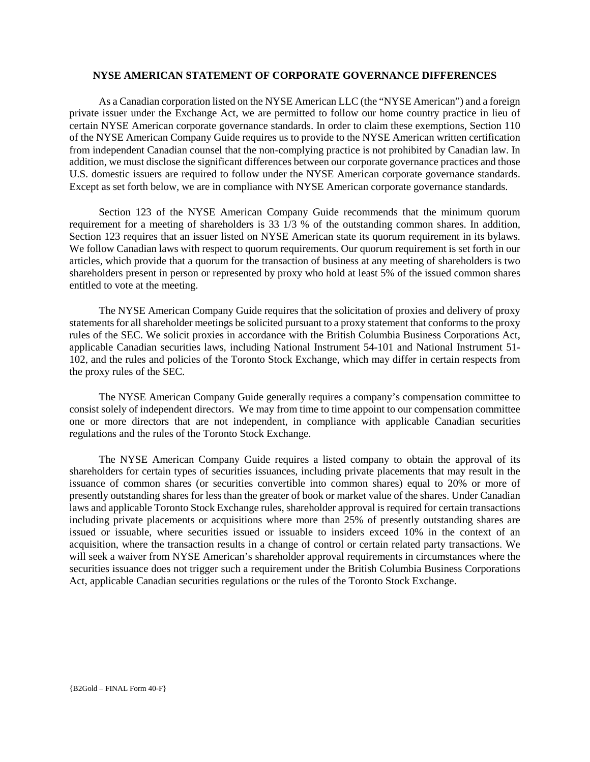#### **NYSE AMERICAN STATEMENT OF CORPORATE GOVERNANCE DIFFERENCES**

As a Canadian corporation listed on the NYSE American LLC (the "NYSE American") and a foreign private issuer under the Exchange Act, we are permitted to follow our home country practice in lieu of certain NYSE American corporate governance standards. In order to claim these exemptions, Section 110 of the NYSE American Company Guide requires us to provide to the NYSE American written certification from independent Canadian counsel that the non-complying practice is not prohibited by Canadian law. In addition, we must disclose the significant differences between our corporate governance practices and those U.S. domestic issuers are required to follow under the NYSE American corporate governance standards. Except as set forth below, we are in compliance with NYSE American corporate governance standards.

Section 123 of the NYSE American Company Guide recommends that the minimum quorum requirement for a meeting of shareholders is 33 1/3 % of the outstanding common shares. In addition, Section 123 requires that an issuer listed on NYSE American state its quorum requirement in its bylaws. We follow Canadian laws with respect to quorum requirements. Our quorum requirement is set forth in our articles, which provide that a quorum for the transaction of business at any meeting of shareholders is two shareholders present in person or represented by proxy who hold at least 5% of the issued common shares entitled to vote at the meeting.

The NYSE American Company Guide requires that the solicitation of proxies and delivery of proxy statements for all shareholder meetings be solicited pursuant to a proxy statement that conforms to the proxy rules of the SEC. We solicit proxies in accordance with the British Columbia Business Corporations Act, applicable Canadian securities laws, including National Instrument 54-101 and National Instrument 51- 102, and the rules and policies of the Toronto Stock Exchange, which may differ in certain respects from the proxy rules of the SEC.

The NYSE American Company Guide generally requires a company's compensation committee to consist solely of independent directors. We may from time to time appoint to our compensation committee one or more directors that are not independent, in compliance with applicable Canadian securities regulations and the rules of the Toronto Stock Exchange.

The NYSE American Company Guide requires a listed company to obtain the approval of its shareholders for certain types of securities issuances, including private placements that may result in the issuance of common shares (or securities convertible into common shares) equal to 20% or more of presently outstanding shares for less than the greater of book or market value of the shares. Under Canadian laws and applicable Toronto Stock Exchange rules, shareholder approval is required for certain transactions including private placements or acquisitions where more than 25% of presently outstanding shares are issued or issuable, where securities issued or issuable to insiders exceed 10% in the context of an acquisition, where the transaction results in a change of control or certain related party transactions. We will seek a waiver from NYSE American's shareholder approval requirements in circumstances where the securities issuance does not trigger such a requirement under the British Columbia Business Corporations Act, applicable Canadian securities regulations or the rules of the Toronto Stock Exchange.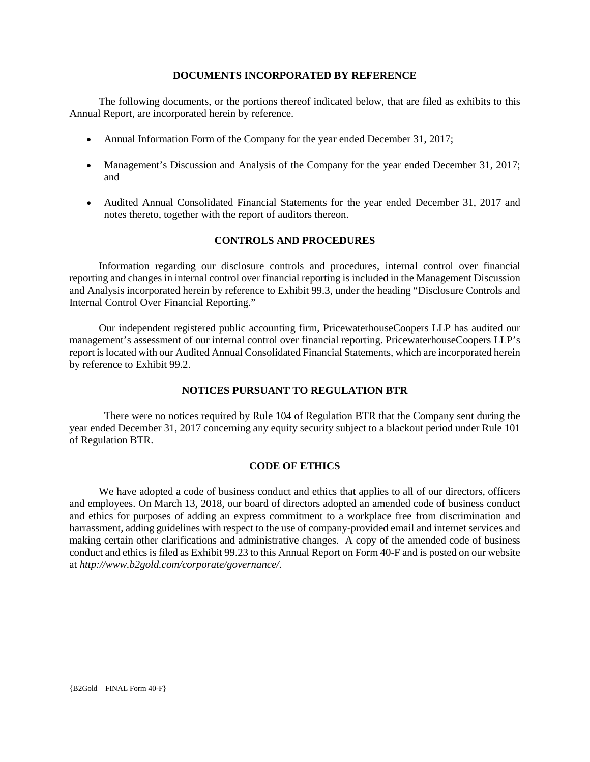#### **DOCUMENTS INCORPORATED BY REFERENCE**

The following documents, or the portions thereof indicated below, that are filed as exhibits to this Annual Report, are incorporated herein by reference.

- Annual Information Form of the Company for the year ended December 31, 2017;
- Management's Discussion and Analysis of the Company for the year ended December 31, 2017; and
- Audited Annual Consolidated Financial Statements for the year ended December 31, 2017 and notes thereto, together with the report of auditors thereon.

## **CONTROLS AND PROCEDURES**

Information regarding our disclosure controls and procedures, internal control over financial reporting and changes in internal control over financial reporting is included in the Management Discussion and Analysis incorporated herein by reference to Exhibit 99.3, under the heading "Disclosure Controls and Internal Control Over Financial Reporting."

Our independent registered public accounting firm, PricewaterhouseCoopers LLP has audited our management's assessment of our internal control over financial reporting. PricewaterhouseCoopers LLP's report is located with our Audited Annual Consolidated Financial Statements, which are incorporated herein by reference to Exhibit 99.2.

## **NOTICES PURSUANT TO REGULATION BTR**

There were no notices required by Rule 104 of Regulation BTR that the Company sent during the year ended December 31, 2017 concerning any equity security subject to a blackout period under Rule 101 of Regulation BTR.

## **CODE OF ETHICS**

We have adopted a code of business conduct and ethics that applies to all of our directors, officers and employees. On March 13, 2018, our board of directors adopted an amended code of business conduct and ethics for purposes of adding an express commitment to a workplace free from discrimination and harrassment, adding guidelines with respect to the use of company-provided email and internet services and making certain other clarifications and administrative changes. A copy of the amended code of business conduct and ethics is filed as Exhibit 99.23 to this Annual Report on Form 40-F and is posted on our website at *http://www.b2gold.com/corporate/governance/.*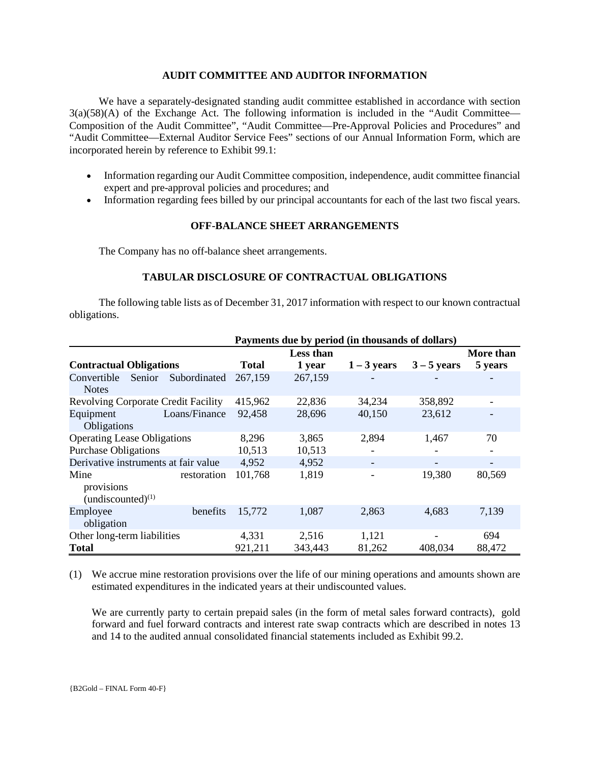## **AUDIT COMMITTEE AND AUDITOR INFORMATION**

We have a separately-designated standing audit committee established in accordance with section 3(a)(58)(A) of the Exchange Act. The following information is included in the "Audit Committee— Composition of the Audit Committee", "Audit Committee—Pre-Approval Policies and Procedures" and "Audit Committee—External Auditor Service Fees" sections of our Annual Information Form, which are incorporated herein by reference to Exhibit 99.1:

- Information regarding our Audit Committee composition, independence, audit committee financial expert and pre-approval policies and procedures; and
- Information regarding fees billed by our principal accountants for each of the last two fiscal years.

## **OFF-BALANCE SHEET ARRANGEMENTS**

The Company has no off-balance sheet arrangements.

## **TABULAR DISCLOSURE OF CONTRACTUAL OBLIGATIONS**

The following table lists as of December 31, 2017 information with respect to our known contractual obligations.

|                                              | Payments due by period (in thousands of dollars) |              |           |               |               |           |
|----------------------------------------------|--------------------------------------------------|--------------|-----------|---------------|---------------|-----------|
|                                              |                                                  |              | Less than |               |               | More than |
| <b>Contractual Obligations</b>               |                                                  | <b>Total</b> | 1 year    | $1 - 3$ years | $3 - 5$ years | 5 years   |
| Convertible<br>Senior<br><b>Notes</b>        | Subordinated                                     | 267,159      | 267,159   |               |               |           |
| <b>Revolving Corporate Credit Facility</b>   |                                                  | 415,962      | 22,836    | 34,234        | 358,892       |           |
| Equipment<br>Obligations                     | Loans/Finance                                    | 92,458       | 28,696    | 40,150        | 23,612        |           |
| <b>Operating Lease Obligations</b>           |                                                  | 8,296        | 3,865     | 2,894         | 1,467         | 70        |
| <b>Purchase Obligations</b>                  |                                                  | 10,513       | 10,513    |               |               |           |
| Derivative instruments at fair value         |                                                  | 4,952        | 4,952     | -             |               |           |
| Mine<br>provisions<br>$(undiscounted)^{(1)}$ | restoration                                      | 101,768      | 1,819     |               | 19,380        | 80,569    |
| Employee<br>obligation                       | benefits                                         | 15,772       | 1,087     | 2,863         | 4,683         | 7,139     |
| Other long-term liabilities                  |                                                  | 4,331        | 2,516     | 1,121         |               | 694       |
| <b>Total</b>                                 |                                                  | 921,211      | 343,443   | 81,262        | 408,034       | 88,472    |

(1) We accrue mine restoration provisions over the life of our mining operations and amounts shown are estimated expenditures in the indicated years at their undiscounted values.

We are currently party to certain prepaid sales (in the form of metal sales forward contracts), gold forward and fuel forward contracts and interest rate swap contracts which are described in notes 13 and 14 to the audited annual consolidated financial statements included as Exhibit 99.2.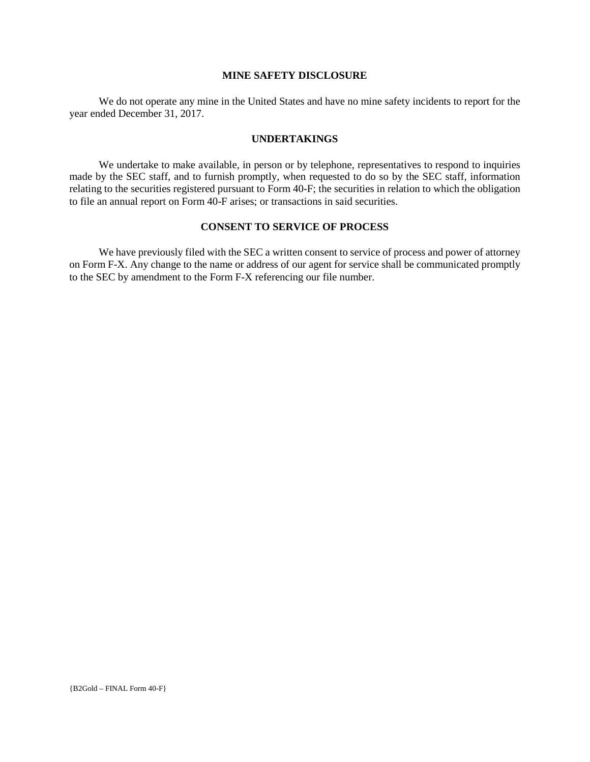## **MINE SAFETY DISCLOSURE**

We do not operate any mine in the United States and have no mine safety incidents to report for the year ended December 31, 2017.

## **UNDERTAKINGS**

We undertake to make available, in person or by telephone, representatives to respond to inquiries made by the SEC staff, and to furnish promptly, when requested to do so by the SEC staff, information relating to the securities registered pursuant to Form 40-F; the securities in relation to which the obligation to file an annual report on Form 40-F arises; or transactions in said securities.

## **CONSENT TO SERVICE OF PROCESS**

We have previously filed with the SEC a written consent to service of process and power of attorney on Form F-X. Any change to the name or address of our agent for service shall be communicated promptly to the SEC by amendment to the Form F-X referencing our file number.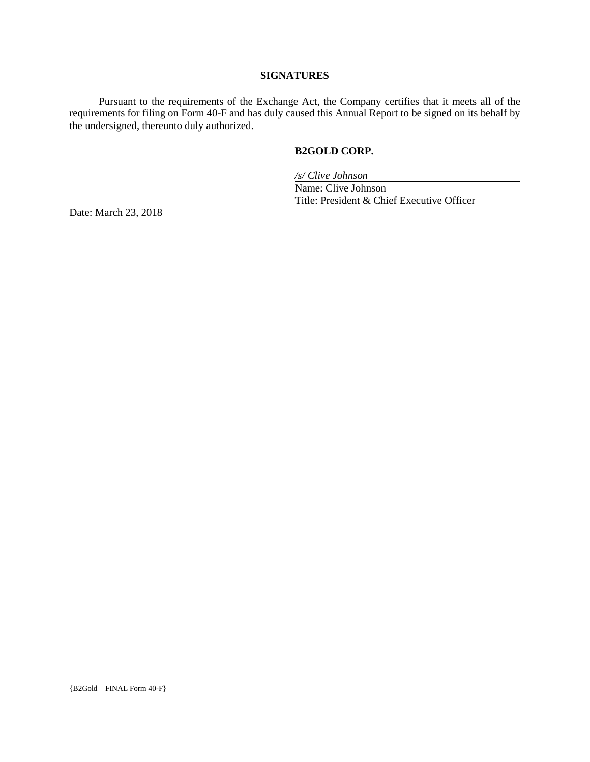## **SIGNATURES**

Pursuant to the requirements of the Exchange Act, the Company certifies that it meets all of the requirements for filing on Form 40-F and has duly caused this Annual Report to be signed on its behalf by the undersigned, thereunto duly authorized.

## **B2GOLD CORP.**

*/s/ Clive Johnson*

Name: Clive Johnson Title: President & Chief Executive Officer

Date: March 23, 2018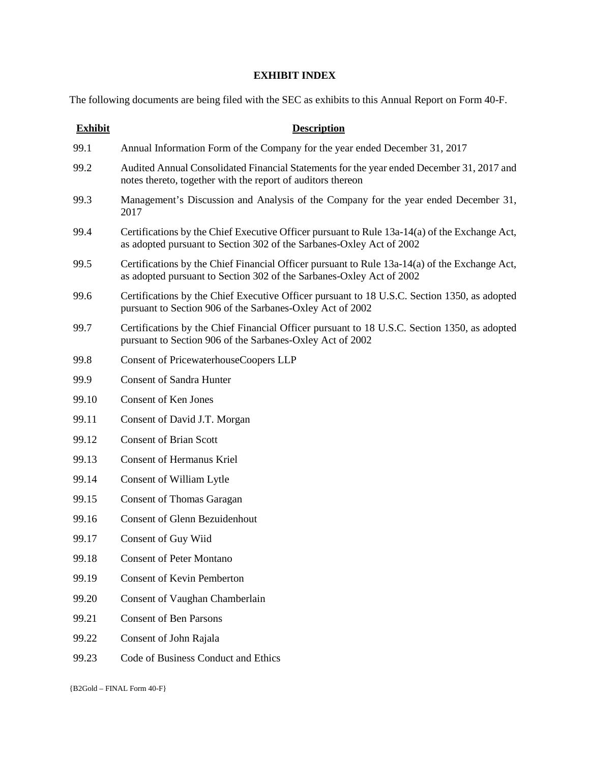## **EXHIBIT INDEX**

The following documents are being filed with the SEC as exhibits to this Annual Report on Form 40-F.

| <b>Exhibit</b> | <b>Description</b>                                                                                                                                                    |
|----------------|-----------------------------------------------------------------------------------------------------------------------------------------------------------------------|
| 99.1           | Annual Information Form of the Company for the year ended December 31, 2017                                                                                           |
| 99.2           | Audited Annual Consolidated Financial Statements for the year ended December 31, 2017 and<br>notes thereto, together with the report of auditors thereon              |
| 99.3           | Management's Discussion and Analysis of the Company for the year ended December 31,<br>2017                                                                           |
| 99.4           | Certifications by the Chief Executive Officer pursuant to Rule 13a-14(a) of the Exchange Act,<br>as adopted pursuant to Section 302 of the Sarbanes-Oxley Act of 2002 |
| 99.5           | Certifications by the Chief Financial Officer pursuant to Rule 13a-14(a) of the Exchange Act,<br>as adopted pursuant to Section 302 of the Sarbanes-Oxley Act of 2002 |
| 99.6           | Certifications by the Chief Executive Officer pursuant to 18 U.S.C. Section 1350, as adopted<br>pursuant to Section 906 of the Sarbanes-Oxley Act of 2002             |
| 99.7           | Certifications by the Chief Financial Officer pursuant to 18 U.S.C. Section 1350, as adopted<br>pursuant to Section 906 of the Sarbanes-Oxley Act of 2002             |
| 99.8           | <b>Consent of PricewaterhouseCoopers LLP</b>                                                                                                                          |
| 99.9           | <b>Consent of Sandra Hunter</b>                                                                                                                                       |
| 99.10          | <b>Consent of Ken Jones</b>                                                                                                                                           |
| 99.11          | Consent of David J.T. Morgan                                                                                                                                          |
| 99.12          | <b>Consent of Brian Scott</b>                                                                                                                                         |
| 99.13          | <b>Consent of Hermanus Kriel</b>                                                                                                                                      |
| 99.14          | Consent of William Lytle                                                                                                                                              |
| 99.15          | <b>Consent of Thomas Garagan</b>                                                                                                                                      |
| 99.16          | <b>Consent of Glenn Bezuidenhout</b>                                                                                                                                  |
| 99.17          | Consent of Guy Wiid                                                                                                                                                   |
| 99.18          | <b>Consent of Peter Montano</b>                                                                                                                                       |
| 99.19          | <b>Consent of Kevin Pemberton</b>                                                                                                                                     |
| 99.20          | Consent of Vaughan Chamberlain                                                                                                                                        |
| 99.21          | <b>Consent of Ben Parsons</b>                                                                                                                                         |
| 99.22          | Consent of John Rajala                                                                                                                                                |
| 99.23          | Code of Business Conduct and Ethics                                                                                                                                   |
|                |                                                                                                                                                                       |

{B2Gold – FINAL Form 40-F}